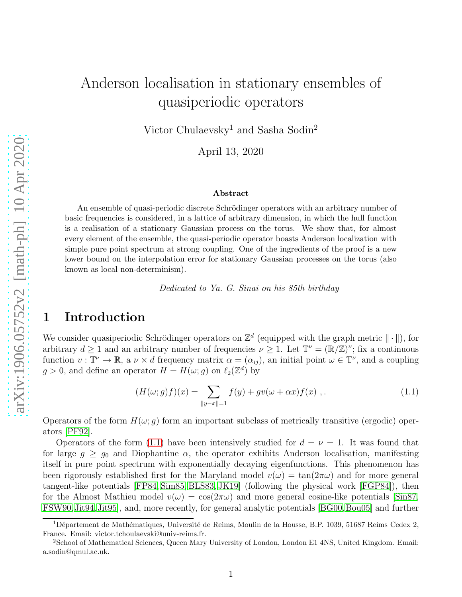# Anderson localisation in stationary ensembles of quasiperiodic operators

Victor Chulaevsky<sup>1</sup> and Sasha Sodin<sup>2</sup>

April 13, 2020

#### Abstract

An ensemble of quasi-periodic discrete Schrödinger operators with an arbitrary number of basic frequencies is considered, in a lattice of arbitrary dimension, in which the hull function is a realisation of a stationary Gaussian process on the torus. We show that, for almost every element of the ensemble, the quasi-periodic operator boasts Anderson localization with simple pure point spectrum at strong coupling. One of the ingredients of the proof is a new lower bound on the interpolation error for stationary Gaussian processes on the torus (also known as local non-determinism).

Dedicated to Ya. G. Sinai on his 85th birthday

# 1 Introduction

We consider quasiperiodic Schrödinger operators on  $\mathbb{Z}^d$  (equipped with the graph metric  $\|\cdot\|$ ), for arbitrary  $d \ge 1$  and an arbitrary number of frequencies  $\nu \ge 1$ . Let  $\mathbb{T}^{\nu} = (\mathbb{R}/\mathbb{Z})^{\nu}$ ; fix a continuous function  $v: \mathbb{T}^{\nu} \to \mathbb{R}$ , a  $\nu \times d$  frequency matrix  $\alpha = (\alpha_{ij})$ , an initial point  $\omega \in \mathbb{T}^{\nu}$ , and a coupling  $g > 0$ , and define an operator  $H = H(\omega; g)$  on  $\ell_2(\mathbb{Z}^d)$  by

<span id="page-0-0"></span>
$$
(H(\omega; g)f)(x) = \sum_{\|y - x\| = 1} f(y) + gv(\omega + \alpha x)f(x) ,
$$
 (1.1)

Operators of the form  $H(\omega; q)$  form an important subclass of metrically transitive (ergodic) operators [\[PF92\]](#page-17-0).

Operators of the form [\(1.1\)](#page-0-0) have been intensively studied for  $d = \nu = 1$ . It was found that for large  $g \geq g_0$  and Diophantine  $\alpha$ , the operator exhibits Anderson localisation, manifesting itself in pure point spectrum with exponentially decaying eigenfunctions. This phenomenon has been rigorously established first for the Maryland model  $v(\omega) = \tan(2\pi\omega)$  and for more general tangent-like potentials [\[FP84,](#page-16-0) [Sim85,](#page-17-1) [BLS83,](#page-15-0) [JK19\]](#page-16-1) (following the physical work [\[FGP84\]](#page-16-2)), then for the Almost Mathieu model  $v(\omega) = \cos(2\pi\omega)$  and more general cosine-like potentials [\[Sin87,](#page-17-2) [FSW90,](#page-16-3) [Jit94,](#page-16-4) Jit95, and, more recently, for general analytic potentials [\[BG00,](#page-15-1) [Bou05\]](#page-15-2) and further

 $1D\acute{e}$ partement de Mathématiques, Université de Reims, Moulin de la Housse, B.P. 1039, 51687 Reims Cedex 2, France. Email: victor.tchoulaevski@univ-reims.fr.

<sup>2</sup>School of Mathematical Sciences, Queen Mary University of London, London E1 4NS, United Kingdom. Email: a.sodin@qmul.ac.uk.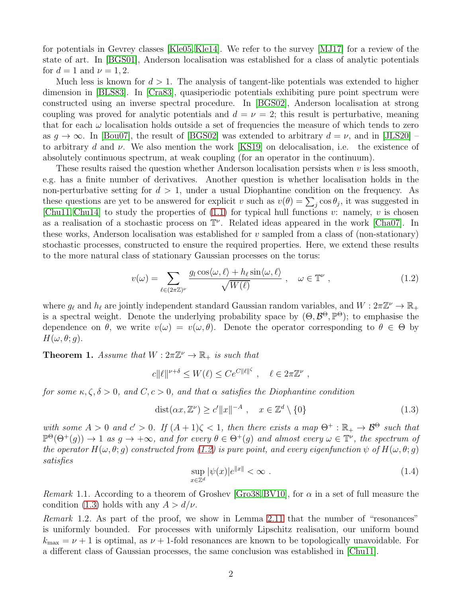for potentials in Gevrey classes [\[Kle05,](#page-16-6) [Kle14\]](#page-16-7). We refer to the survey [\[MJ17\]](#page-17-3) for a review of the state of art. In [\[BGS01\]](#page-15-3), Anderson localisation was established for a class of analytic potentials for  $d=1$  and  $\nu=1,2$ .

Much less is known for  $d > 1$ . The analysis of tangent-like potentials was extended to higher dimension in [\[BLS83\]](#page-15-0). In [\[Cra83\]](#page-16-8), quasiperiodic potentials exhibiting pure point spectrum were constructed using an inverse spectral procedure. In [\[BGS02\]](#page-15-4), Anderson localisation at strong coupling was proved for analytic potentials and  $d = \nu = 2$ ; this result is perturbative, meaning that for each  $\omega$  localisation holds outside a set of frequencies the measure of which tends to zero as  $g \to \infty$ . In [\[Bou07\]](#page-15-5), the result of [\[BGS02\]](#page-15-4) was extended to arbitrary  $d = \nu$ , and in [\[JLS20\]](#page-16-9) – to arbitrary d and  $\nu$ . We also mention the work [\[KS19\]](#page-16-10) on delocalisation, i.e. the existence of absolutely continuous spectrum, at weak coupling (for an operator in the continuum).

These results raised the question whether Anderson localisation persists when  $v$  is less smooth, e.g. has a finite number of derivatives. Another question is whether localisation holds in the non-perturbative setting for  $d > 1$ , under a usual Diophantine condition on the frequency. As these questions are yet to be answered for explicit v such as  $v(\theta) = \sum_j \cos \theta_j$ , it was suggested in [\[Chu11,](#page-16-11) [Chu14\]](#page-16-12) to study the properties of  $(1.1)$  for typical hull functions v: namely, v is chosen as a realisation of a stochastic process on  $\mathbb{T}^{\nu}$ . Related ideas appeared in the work [\[Cha07\]](#page-16-13). In these works, Anderson localisation was established for  $v$  sampled from a class of (non-stationary) stochastic processes, constructed to ensure the required properties. Here, we extend these results to the more natural class of stationary Gaussian processes on the torus:

<span id="page-1-0"></span>
$$
v(\omega) = \sum_{\ell \in (2\pi\mathbb{Z})^{\nu}} \frac{g_{\ell} \cos\langle \omega, \ell \rangle + h_{\ell} \sin\langle \omega, \ell \rangle}{\sqrt{W(\ell)}}, \quad \omega \in \mathbb{T}^{\nu}, \tag{1.2}
$$

where  $g_{\ell}$  and  $h_{\ell}$  are jointly independent standard Gaussian random variables, and  $W: 2\pi\mathbb{Z}^{\nu} \to \mathbb{R}_{+}$ is a spectral weight. Denote the underlying probability space by  $(\Theta, \mathcal{B}^{\Theta}, \mathbb{P}^{\Theta})$ ; to emphasise the dependence on  $\theta$ , we write  $v(\omega) = v(\omega, \theta)$ . Denote the operator corresponding to  $\theta \in \Theta$  by  $H(\omega, \theta; g)$ .

<span id="page-1-2"></span>**Theorem 1.** Assume that  $W: 2\pi \mathbb{Z}^{\nu} \to \mathbb{R}_{+}$  is such that

$$
c||\ell||^{\nu+\delta} \le W(\ell) \le Ce^{C||\ell||^{\zeta}}, \quad \ell \in 2\pi\mathbb{Z}^{\nu},
$$

for some  $\kappa, \zeta, \delta > 0$ , and  $C, c > 0$ , and that  $\alpha$  satisfies the Diophantine condition

$$
dist(\alpha x, \mathbb{Z}^{\nu}) \ge c' \|x\|^{-A} , \quad x \in \mathbb{Z}^d \setminus \{0\}
$$
\n
$$
(1.3)
$$

<span id="page-1-3"></span>with some  $A > 0$  and  $c' > 0$ . If  $(A + 1)\zeta < 1$ , then there exists a map  $\Theta^+ : \mathbb{R}_+ \to \mathcal{B}^{\Theta}$  such that  $\mathbb{P}^{\Theta}(\Theta^+(g)) \to 1$  as  $g \to +\infty$ , and for every  $\theta \in \Theta^+(g)$  and almost every  $\omega \in \mathbb{T}^{\nu}$ , the spectrum of the operator  $H(\omega, \theta; g)$  constructed from [\(1.2\)](#page-1-0) is pure point, and every eigenfunction  $\psi$  of  $H(\omega, \theta; g)$ satisfies

<span id="page-1-1"></span>
$$
\sup_{x \in \mathbb{Z}^d} |\psi(x)|e^{\|x\|} < \infty \tag{1.4}
$$

*Remark* 1.1. According to a theorem of Groshev [\[Gro38,](#page-16-14) [BV10\]](#page-15-6), for  $\alpha$  in a set of full measure the condition [\(1.3\)](#page-1-1) holds with any  $A > d/\nu$ .

Remark 1.2. As part of the proof, we show in Lemma [2.11](#page-10-0) that the number of "resonances" is uniformly bounded. For processes with uniformly Lipschitz realisation, our uniform bound  $k_{\text{max}} = \nu + 1$  is optimal, as  $\nu + 1$ -fold resonances are known to be topologically unavoidable. For a different class of Gaussian processes, the same conclusion was established in [\[Chu11\]](#page-16-11).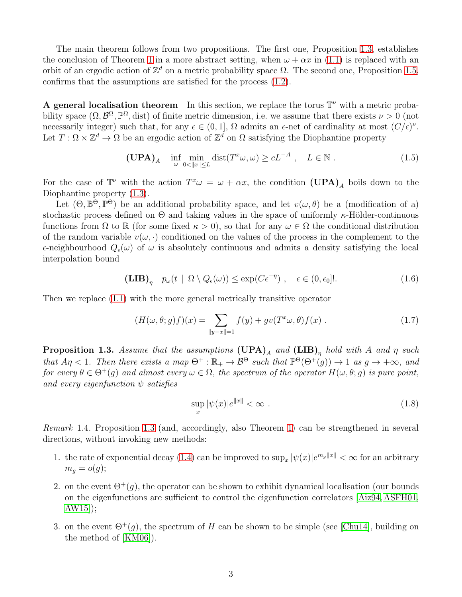The main theorem follows from two propositions. The first one, Proposition [1.3,](#page-2-0) establishes the conclusion of Theorem [1](#page-1-2) in a more abstract setting, when  $\omega + \alpha x$  in [\(1.1\)](#page-0-0) is replaced with an orbit of an ergodic action of  $\mathbb{Z}^d$  on a metric probability space  $\Omega$ . The second one, Proposition [1.5,](#page-3-0) confirms that the assumptions are satisfied for the process [\(1.2\)](#page-1-0).

A general localisation theorem In this section, we replace the torus  $\mathbb{T}^{\nu}$  with a metric probability space  $(\Omega, \mathcal{B}^{\Omega}, \mathbb{P}^{\Omega}, \text{dist})$  of finite metric dimension, i.e. we assume that there exists  $\nu > 0$  (not necessarily integer) such that, for any  $\epsilon \in (0,1]$ ,  $\Omega$  admits an  $\epsilon$ -net of cardinality at most  $(C/\epsilon)^{\nu}$ . Let  $T: \Omega \times \mathbb{Z}^d \to \Omega$  be an ergodic action of  $\mathbb{Z}^d$  on  $\Omega$  satisfying the Diophantine property

$$
(\mathbf{UPA})_A \quad \inf_{\omega} \min_{0 < \|x\| \le L} \text{dist}(T^x \omega, \omega) \ge cL^{-A} \;, \quad L \in \mathbb{N} \; . \tag{1.5}
$$

For the case of  $\mathbb{T}^{\nu}$  with the action  $T^{x}\omega = \omega + \alpha x$ , the condition  $(\mathbf{UPA})_A$  boils down to the Diophantine property [\(1.3\)](#page-1-1).

Let  $(\Theta, \mathbb{B}^{\Theta}, \mathbb{P}^{\Theta})$  be an additional probability space, and let  $v(\omega, \theta)$  be a (modification of a) stochastic process defined on  $\Theta$  and taking values in the space of uniformly  $\kappa$ -Hölder-continuous functions from  $\Omega$  to  $\mathbb R$  (for some fixed  $\kappa > 0$ ), so that for any  $\omega \in \Omega$  the conditional distribution of the random variable  $v(\omega, \cdot)$  conditioned on the values of the process in the complement to the  $\epsilon$ -neighbourhood  $Q_{\epsilon}(\omega)$  of  $\omega$  is absolutely continuous and admits a density satisfying the local interpolation bound

$$
(\mathbf{LIB})_{\eta} \quad p_{\omega}(t \mid \Omega \setminus Q_{\epsilon}(\omega)) \le \exp(C\epsilon^{-\eta}) \;, \quad \epsilon \in (0, \epsilon_0]!. \tag{1.6}
$$

Then we replace [\(1.1\)](#page-0-0) with the more general metrically transitive operator

$$
(H(\omega,\theta;g)f)(x) = \sum_{\|y-x\|=1} f(y) + gv(T^x\omega,\theta)f(x) . \tag{1.7}
$$

<span id="page-2-0"></span>**Proposition 1.3.** Assume that the assumptions  $(\text{UPA})_A$  and  $(\text{LIB})_{\eta}$  hold with A and  $\eta$  such that  $A\eta < 1$ . Then there exists a map  $\Theta^+ : \mathbb{R}_+ \to \mathcal{B}^\Theta$  such that  $\mathbb{P}^\Theta(\Theta^+(g)) \to 1$  as  $g \to +\infty$ , and for every  $\theta \in \Theta^+(q)$  and almost every  $\omega \in \Omega$ , the spectrum of the operator  $H(\omega, \theta; q)$  is pure point, and every eigenfunction  $\psi$  satisfies

$$
\sup_{x} |\psi(x)|e^{\|x\|} < \infty . \tag{1.8}
$$

Remark 1.4. Proposition [1.3](#page-2-0) (and, accordingly, also Theorem [1\)](#page-1-2) can be strengthened in several directions, without invoking new methods:

- 1. the rate of exponential decay [\(1.4\)](#page-1-3) can be improved to  $\sup_x |\psi(x)|e^{mg||x||} < \infty$  for an arbitrary  $m_q = o(g);$
- 2. on the event  $\Theta^+(q)$ , the operator can be shown to exhibit dynamical localisation (our bounds on the eigenfunctions are sufficient to control the eigenfunction correlators [\[Aiz94,](#page-15-7) [ASFH01,](#page-15-8) [AW15\]](#page-15-9));
- 3. on the event  $\Theta^+(q)$ , the spectrum of H can be shown to be simple (see [\[Chu14\]](#page-16-12), building on the method of [\[KM06\]](#page-16-15)).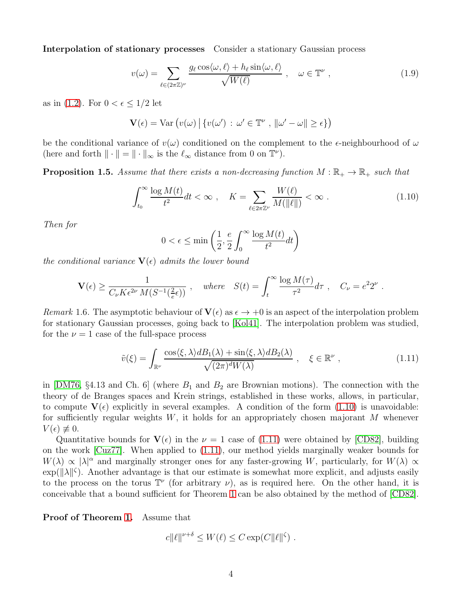Interpolation of stationary processes Consider a stationary Gaussian process

$$
v(\omega) = \sum_{\ell \in (2\pi\mathbb{Z})^{\nu}} \frac{g_{\ell} \cos\langle \omega, \ell \rangle + h_{\ell} \sin\langle \omega, \ell \rangle}{\sqrt{W(\ell)}}, \quad \omega \in \mathbb{T}^{\nu}, \tag{1.9}
$$

as in [\(1.2\)](#page-1-0). For  $0 < \epsilon \leq 1/2$  let

$$
\mathbf{V}(\epsilon) = \text{Var}\left(v(\omega) \,|\, \{v(\omega')\,:\,\omega' \in \mathbb{T}^{\nu} \,,\, \|\omega' - \omega\| \geq \epsilon\}\right)
$$

be the conditional variance of  $v(\omega)$  conditioned on the complement to the  $\epsilon$ -neighbourhood of  $\omega$ (here and forth  $\|\cdot\| = \|\cdot\|_{\infty}$  is the  $\ell_{\infty}$  distance from 0 on  $\mathbb{T}^{\nu}$ ).

<span id="page-3-0"></span>**Proposition 1.5.** Assume that there exists a non-decreasing function  $M : \mathbb{R}_+ \to \mathbb{R}_+$  such that

$$
\int_{t_0}^{\infty} \frac{\log M(t)}{t^2} dt < \infty \;, \quad K = \sum_{\ell \in 2\pi \mathbb{Z}^\nu} \frac{W(\ell)}{M(\|\ell\|)} < \infty \; . \tag{1.10}
$$

Then for

<span id="page-3-1"></span>
$$
0 < \epsilon \le \min\left(\frac{1}{2}, \frac{e}{2} \int_0^\infty \frac{\log M(t)}{t^2} dt\right)
$$

the conditional variance  $\mathbf{V}(\epsilon)$  admits the lower bound

$$
\mathbf{V}(\epsilon) \ge \frac{1}{C_{\nu} K \epsilon^{2\nu} M (S^{-1}(\frac{2}{e}\epsilon))}, \quad \text{where} \quad S(t) = \int_{t}^{\infty} \frac{\log M(\tau)}{\tau^{2}} d\tau, \quad C_{\nu} = e^{2} 2^{\nu}.
$$

Remark 1.6. The asymptotic behaviour of  $\mathbf{V}(\epsilon)$  as  $\epsilon \to +0$  is an aspect of the interpolation problem for stationary Gaussian processes, going back to [\[Kol41\]](#page-17-4). The interpolation problem was studied, for the  $\nu = 1$  case of the full-space process

<span id="page-3-2"></span>
$$
\tilde{v}(\xi) = \int_{\mathbb{R}^{\nu}} \frac{\cos\langle \xi, \lambda \rangle d B_1(\lambda) + \sin\langle \xi, \lambda \rangle d B_2(\lambda)}{\sqrt{(2\pi)^d W(\lambda)}}, \quad \xi \in \mathbb{R}^{\nu}, \tag{1.11}
$$

in [\[DM76,](#page-16-16)  $\S 4.13$  and Ch. 6] (where  $B_1$  and  $B_2$  are Brownian motions). The connection with the theory of de Branges spaces and Krein strings, established in these works, allows, in particular, to compute  $V(\epsilon)$  explicitly in several examples. A condition of the form [\(1.10\)](#page-3-1) is unavoidable: for sufficiently regular weights  $W$ , it holds for an appropriately chosen majorant  $M$  whenever  $V(\epsilon) \not\equiv 0.$ 

Quantitative bounds for  $V(\epsilon)$  in the  $\nu = 1$  case of [\(1.11\)](#page-3-2) were obtained by [\[CD82\]](#page-16-17), building on the work [\[Cuz77\]](#page-16-18). When applied to [\(1.11\)](#page-3-2), our method yields marginally weaker bounds for  $W(\lambda) \propto |\lambda|^{\alpha}$  and marginally stronger ones for any faster-growing W, particularly, for  $W(\lambda) \propto$  $\exp(||\lambda||^{\zeta})$ . Another advantage is that our estimate is somewhat more explicit, and adjusts easily to the process on the torus  $\mathbb{T}^{\nu}$  (for arbitrary  $\nu$ ), as is required here. On the other hand, it is conceivable that a bound sufficient for Theorem [1](#page-1-2) can be also obtained by the method of [\[CD82\]](#page-16-17).

Proof of Theorem [1.](#page-1-2) Assume that

$$
c||\ell||^{\nu+\delta} \le W(\ell) \le C \exp(C||\ell||^{\zeta}).
$$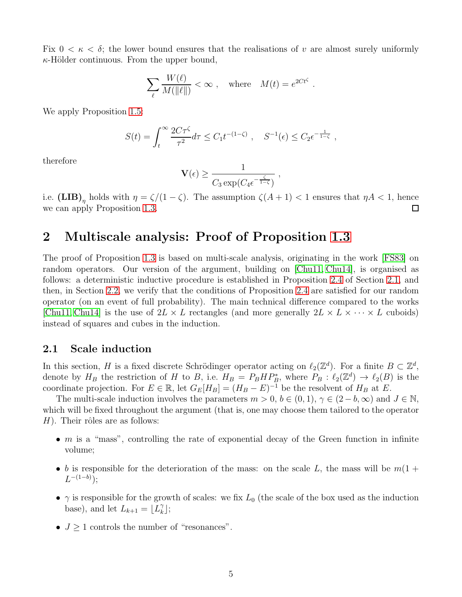Fix  $0 < \kappa < \delta$ ; the lower bound ensures that the realisations of v are almost surely uniformly  $\kappa$ -Hölder continuous. From the upper bound,

$$
\sum_{\ell} \frac{W(\ell)}{M(\|\ell\|)} < \infty , \quad \text{where} \quad M(t) = e^{2Ct^{\zeta}}
$$

.

We apply Proposition [1.5:](#page-3-0)

$$
S(t) = \int_t^{\infty} \frac{2C\tau^{\zeta}}{\tau^2} d\tau \le C_1 t^{-(1-\zeta)}, \quad S^{-1}(\epsilon) \le C_2 \epsilon^{-\frac{1}{1-\zeta}},
$$

therefore

$$
\mathbf{V}(\epsilon) \ge \frac{1}{C_3 \exp(C_4 \epsilon^{-\frac{\zeta}{1-\zeta}})} ,
$$

i.e.  $(LIB)_{\eta}$  holds with  $\eta = \zeta/(1-\zeta)$ . The assumption  $\zeta(A+1) < 1$  ensures that  $\eta A < 1$ , hence we can apply Proposition [1.3.](#page-2-0)

# 2 Multiscale analysis: Proof of Proposition [1.3](#page-2-0)

The proof of Proposition [1.3](#page-2-0) is based on multi-scale analysis, originating in the work [\[FS83\]](#page-16-19) on random operators. Our version of the argument, building on [\[Chu11,](#page-16-11) [Chu14\]](#page-16-12), is organised as follows: a deterministic inductive procedure is established in Proposition [2.4](#page-5-0) of Section [2.1,](#page-4-0) and then, in Section [2.2,](#page-9-0) we verify that the conditions of Proposition [2.4](#page-5-0) are satisfied for our random operator (on an event of full probability). The main technical difference compared to the works [\[Chu11,](#page-16-11) [Chu14\]](#page-16-12) is the use of  $2L \times L$  rectangles (and more generally  $2L \times L \times \cdots \times L$  cuboids) instead of squares and cubes in the induction.

#### <span id="page-4-0"></span>2.1 Scale induction

In this section, H is a fixed discrete Schrödinger operator acting on  $\ell_2(\mathbb{Z}^d)$ . For a finite  $B \subset \mathbb{Z}^d$ , denote by  $H_B$  the restriction of H to B, i.e.  $H_B = P_B H P_B^*$ , where  $P_B : \ell_2(\mathbb{Z}^d) \to \ell_2(B)$  is the coordinate projection. For  $E \in \mathbb{R}$ , let  $G_E[H_B] = (H_B - E)^{-1}$  be the resolvent of  $H_B$  at  $E$ .

The multi-scale induction involves the parameters  $m > 0$ ,  $b \in (0, 1)$ ,  $\gamma \in (2 - b, \infty)$  and  $J \in \mathbb{N}$ , which will be fixed throughout the argument (that is, one may choose them tailored to the operator  $H$ ). Their rôles are as follows:

- $m$  is a "mass", controlling the rate of exponential decay of the Green function in infinite volume;
- b is responsible for the deterioration of the mass: on the scale L, the mass will be  $m(1 +$  $L^{-(1-b)}$ );
- $\gamma$  is responsible for the growth of scales: we fix  $L_0$  (the scale of the box used as the induction base), and let  $L_{k+1} = \lfloor L_k^{\gamma}$  $\begin{bmatrix} \gamma \\ k \end{bmatrix}$ ;
- $J > 1$  controls the number of "resonances".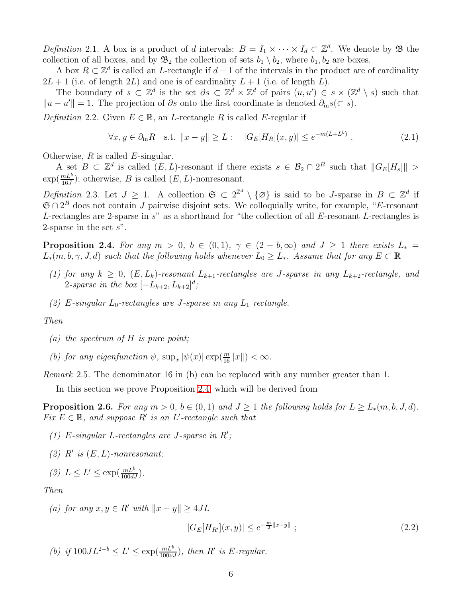Definition 2.1. A box is a product of d intervals:  $B = I_1 \times \cdots \times I_d \subset \mathbb{Z}^d$ . We denote by  $\mathfrak B$  the collection of all boxes, and by  $\mathfrak{B}_2$  the collection of sets  $b_1 \setminus b_2$ , where  $b_1, b_2$  are boxes.

A box  $R \subset \mathbb{Z}^d$  is called an L-rectangle if  $d-1$  of the intervals in the product are of cardinality  $2L + 1$  (i.e. of length  $2L$ ) and one is of cardinality  $L + 1$  (i.e. of length L).

The boundary of  $s \subset \mathbb{Z}^d$  is the set  $\partial s \subset \mathbb{Z}^d \times \mathbb{Z}^d$  of pairs  $(u, u') \in s \times (\mathbb{Z}^d \setminus s)$  such that  $||u - u'|| = 1$ . The projection of ∂s onto the first coordinate is denoted  $\partial_{in} s$ (⊂ s).

Definition 2.2. Given  $E \in \mathbb{R}$ , an L-rectangle R is called E-regular if

<span id="page-5-2"></span>
$$
\forall x, y \in \partial_{\text{in}} R \quad \text{s.t. } \|x - y\| \ge L : \quad |G_E[H_R](x, y)| \le e^{-m(L + L^b)} \ . \tag{2.1}
$$

Otherwise,  $R$  is called  $E$ -singular.

A set  $B \subset \mathbb{Z}^d$  is called  $(E, L)$ -resonant if there exists  $s \in \mathcal{B}_2 \cap 2^B$  such that  $||G_E[H_s]|| >$  $\exp(\frac{mL^b}{16J})$ ; otherwise, B is called  $(E, L)$ -nonresonant.

Definition 2.3. Let  $J \geq 1$ . A collection  $\mathfrak{S} \subset 2^{\mathbb{Z}^d} \setminus {\{\varnothing\}}$  is said to be J-sparse in  $B \subset \mathbb{Z}^d$  if  $\mathfrak{S} \cap 2^B$  does not contain J pairwise disjoint sets. We colloquially write, for example, "E-resonant" L-rectangles are 2-sparse in  $s$ " as a shorthand for "the collection of all  $E$ -resonant L-rectangles is 2-sparse in the set  $s$ ".

<span id="page-5-0"></span>**Proposition 2.4.** For any  $m > 0$ ,  $b \in (0,1)$ ,  $\gamma \in (2 - b, \infty)$  and  $J \ge 1$  there exists  $L_* =$  $L_*(m, b, \gamma, J, d)$  such that the following holds whenever  $L_0 \geq L_*$ . Assume that for any  $E \subset \mathbb{R}$ 

- (1) for any  $k \geq 0$ ,  $(E, L_k)$ -resonant  $L_{k+1}$ -rectangles are J-sparse in any  $L_{k+2}$ -rectangle, and 2-sparse in the box  $[-L_{k+2}, L_{k+2}]^d$ ;
- (2) E-singular  $L_0$ -rectangles are J-sparse in any  $L_1$  rectangle.

Then

(a) the spectrum of  $H$  is pure point;

(b) for any eigenfunction  $\psi$ ,  $\sup_x |\psi(x)| \exp(\frac{m}{16} ||x||) < \infty$ .

Remark 2.5. The denominator 16 in (b) can be replaced with any number greater than 1.

In this section we prove Proposition [2.4,](#page-5-0) which will be derived from

<span id="page-5-1"></span>**Proposition 2.6.** For any  $m > 0$ ,  $b \in (0, 1)$  and  $J \ge 1$  the following holds for  $L \ge L_*(m, b, J, d)$ . Fix  $E \in \mathbb{R}$ , and suppose R' is an L'-rectangle such that

- (1) E-singular L-rectangles are J-sparse in  $R'$ ;
- (2)  $R'$  is  $(E, L)$ -nonresonant;

$$
(3) L \le L' \le \exp(\frac{mL^b}{100dJ}).
$$

Then

(a) for any  $x, y \in R'$  with  $||x - y|| \ge 4JL$ 

$$
|G_E[H_{R'}](x,y)| \le e^{-\frac{m}{2}||x-y||} \tag{2.2}
$$

(b) if  $100JL^{2-b} \le L' \le \exp(\frac{mL^b}{100\nu J})$ , then R' is E-regular.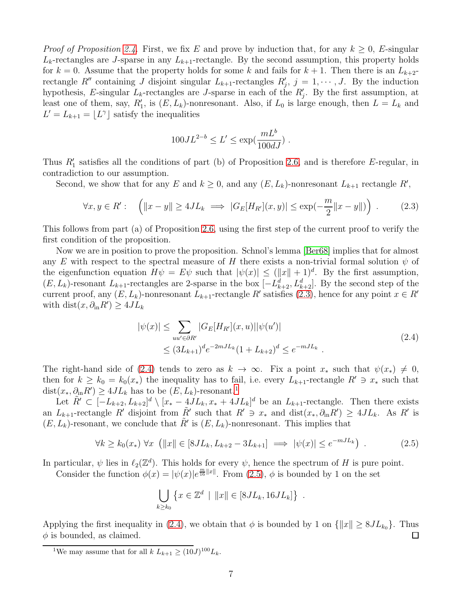*Proof of Proposition [2.4.](#page-5-0)* First, we fix E and prove by induction that, for any  $k \geq 0$ , E-singular  $L_k$ -rectangles are J-sparse in any  $L_{k+1}$ -rectangle. By the second assumption, this property holds for  $k = 0$ . Assume that the property holds for some k and fails for  $k + 1$ . Then there is an  $L_{k+2}$ rectangle R'' containing J disjoint singular  $L_{k+1}$ -rectangles  $R'_j$ ,  $j = 1, \dots, J$ . By the induction hypothesis, E-singular  $L_k$ -rectangles are J-sparse in each of the  $R'_j$ . By the first assumption, at least one of them, say,  $R'_1$ , is  $(E, L_k)$ -nonresonant. Also, if  $L_0$  is large enough, then  $L = L_k$  and  $L' = L_{k+1} = \lfloor L^{\gamma} \rfloor$  satisfy the inequalities

<span id="page-6-0"></span>
$$
100JL^{2-b} \le L' \le \exp(\frac{mL^b}{100dJ}) \; .
$$

Thus  $R'_1$  satisfies all the conditions of part (b) of Proposition [2.6,](#page-5-1) and is therefore E-regular, in contradiction to our assumption.

Second, we show that for any E and  $k \geq 0$ , and any  $(E, L_k)$ -nonresonant  $L_{k+1}$  rectangle  $R'$ ,

$$
\forall x, y \in R': \quad \left( \|x - y\| \ge 4JL_k \implies |G_E[H_{R'}](x, y)| \le \exp\left(-\frac{m}{2}||x - y||\right) \right). \tag{2.3}
$$

This follows from part (a) of Proposition [2.6,](#page-5-1) using the first step of the current proof to verify the first condition of the proposition.

Now we are in position to prove the proposition. Schnol's lemma [\[Ber68\]](#page-15-10) implies that for almost any E with respect to the spectral measure of H there exists a non-trivial formal solution  $\psi$  of the eigenfunction equation  $H\psi = E\psi$  such that  $|\psi(x)| \leq (||x|| + 1)^d$ . By the first assumption,  $(E, L_k)$ -resonant  $L_{k+1}$ -rectangles are 2-sparse in the box  $[-L_{k+2}^d, L_{k+2}^d]$ . By the second step of the current proof, any  $(E, L_k)$ -nonresonant  $L_{k+1}$ -rectangle R' satisfies [\(2.3\)](#page-6-0), hence for any point  $x \in R'$ with  $dist(x, \partial_{\text{in}} R') \geq 4JL_k$ 

<span id="page-6-1"></span>
$$
|\psi(x)| \leq \sum_{uu' \in \partial R'} |G_E[H_{R'}](x, u)||\psi(u')|
$$
  
 
$$
\leq (3L_{k+1})^d e^{-2mJL_k} (1 + L_{k+2})^d \leq e^{-mJL_k} .
$$
 (2.4)

The right-hand side of [\(2.4\)](#page-6-1) tends to zero as  $k \to \infty$ . Fix a point  $x_*$  such that  $\psi(x_*) \neq 0$ , then for  $k \geq k_0 = k_0(x_*)$  the inequality has to fail, i.e. every  $L_{k+1}$ -rectangle  $R' \ni x_*$  such that  $dist(x_*, \partial_{\text{in}} R') \geq 4JL_k$  has to be  $(E, L_k)$ -resonant.<sup>[1](#page-6-2)</sup>

Let  $\tilde{R}' \subset [-L_{k+2}, L_{k+2}]^d \setminus [x_* - 4JL_k, x_* + 4JL_k]^d$  be an  $L_{k+1}$ -rectangle. Then there exists an  $L_{k+1}$ -rectangle R' disjoint from  $\tilde{R}'$  such that  $R' \ni x_*$  and  $dist(x_*, \partial_{\text{in}} R') \geq 4JL_k$ . As R' is  $(E, L_k)$ -resonant, we conclude that  $\tilde{R}'$  is  $(E, L_k)$ -nonresonant. This implies that

$$
\forall k \ge k_0(x_*) \,\forall x \, \left( \Vert x \Vert \in [8JL_k, L_{k+2} - 3L_{k+1}] \implies |\psi(x)| \le e^{-mJL_k} \right) \,.
$$
 (2.5)

In particular,  $\psi$  lies in  $\ell_2(\mathbb{Z}^d)$ . This holds for every  $\psi$ , hence the spectrum of H is pure point.

Consider the function  $\phi(x) = |\psi(x)|e^{\frac{m}{16}||x||}$ . From [\(2.5\)](#page-6-3),  $\phi$  is bounded by 1 on the set

<span id="page-6-3"></span>
$$
\bigcup_{k \ge k_0} \left\{ x \in \mathbb{Z}^d \mid ||x|| \in [8JL_k, 16JL_k] \right\} .
$$

Applying the first inequality in [\(2.4\)](#page-6-1), we obtain that  $\phi$  is bounded by 1 on  $\{\|x\| \geq 8JL_{k_0}\}\.$  Thus  $\phi$  is bounded, as claimed.  $\phi$  is bounded, as claimed.

<span id="page-6-2"></span><sup>&</sup>lt;sup>1</sup>We may assume that for all  $k L_{k+1} \ge (10J)^{100} L_k$ .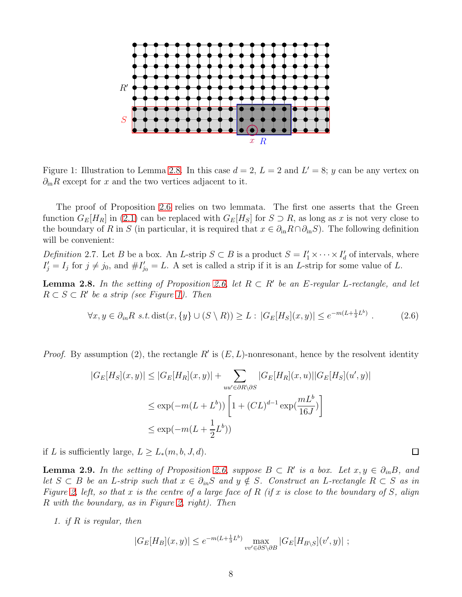

<span id="page-7-1"></span>Figure 1: Illustration to Lemma [2.8.](#page-7-0) In this case  $d = 2$ ,  $L = 2$  and  $L' = 8$ ; y can be any vertex on  $\partial_{\rm in}R$  except for x and the two vertices adjacent to it.

The proof of Proposition [2.6](#page-5-1) relies on two lemmata. The first one asserts that the Green function  $G_E[H_R]$  in [\(2.1\)](#page-5-2) can be replaced with  $G_E[H_S]$  for  $S \supset R$ , as long as x is not very close to the boundary of R in S (in particular, it is required that  $x \in \partial_{\text{in}} R \cap \partial_{\text{in}} S$ ). The following definition will be convenient:

Definition 2.7. Let B be a box. An L-strip  $S \subset B$  is a product  $S = I'_1 \times \cdots \times I'_d$  of intervals, where  $I'_j = I_j$  for  $j \neq j_0$ , and  $\#I'_{j_0} = L$ . A set is called a strip if it is an L-strip for some value of L.

<span id="page-7-0"></span>**Lemma 2.8.** In the setting of Proposition [2.6,](#page-5-1) let  $R \subset R'$  be an E-regular L-rectangle, and let  $R \subset S \subset R'$  be a strip (see Figure [1\)](#page-7-1). Then

$$
\forall x, y \in \partial_{in} R \text{ s.t. } \text{dist}(x, \{y\} \cup (S \setminus R)) \ge L : |G_E[H_S](x, y)| \le e^{-m(L + \frac{1}{2}L^b)}.
$$
 (2.6)

*Proof.* By assumption (2), the rectangle  $R'$  is  $(E, L)$ -nonresonant, hence by the resolvent identity

$$
|G_E[H_S](x,y)| \le |G_E[H_R](x,y)| + \sum_{uu' \in \partial R \setminus \partial S} |G_E[H_R](x,u)||G_E[H_S](u',y)|
$$
  

$$
\le \exp(-m(L+L^b)) \left[1 + (CL)^{d-1} \exp(\frac{mL^b}{16J})\right]
$$
  

$$
\le \exp(-m(L+\frac{1}{2}L^b))
$$

if L is sufficiently large,  $L \geq L_*(m, b, J, d)$ .

<span id="page-7-2"></span>**Lemma 2.9.** In the setting of Proposition [2.6,](#page-5-1) suppose  $B \subset R'$  is a box. Let  $x, y \in \partial_{in}B$ , and let  $S \subset B$  be an L-strip such that  $x \in \partial_{in}S$  and  $y \notin S$ . Construct an L-rectangle  $R \subset S$  as in Figure [2,](#page-8-0) left, so that x is the centre of a large face of R (if x is close to the boundary of S, align R with the boundary, as in Figure [2,](#page-8-0) right). Then

1. if R is regular, then

$$
|G_E[H_B](x,y)| \le e^{-m(L + \frac{1}{3}L^b)} \max_{vv' \in \partial S \setminus \partial B} |G_E[H_{B \setminus S}](v',y)| ;
$$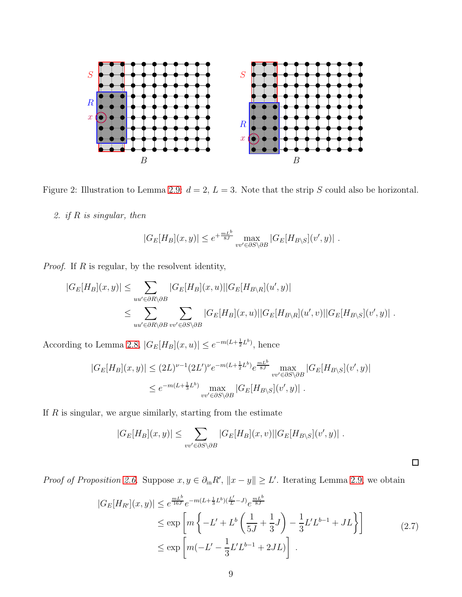

Figure 2: Illustration to Lemma [2.9:](#page-7-2)  $d = 2$ ,  $L = 3$ . Note that the strip S could also be horizontal.

<span id="page-8-0"></span>2. if R is singular, then

$$
|G_E[H_B](x,y)| \le e^{+\frac{mL^b}{8J}} \max_{vv' \in \partial S \setminus \partial B} |G_E[H_{B \setminus S}](v',y)|.
$$

*Proof.* If  $R$  is regular, by the resolvent identity,

$$
|G_E[H_B](x,y)| \leq \sum_{uu' \in \partial R \backslash \partial B} |G_E[H_B](x,u)||G_E[H_{B \backslash R}](u',y)|
$$
  

$$
\leq \sum_{uu' \in \partial R \backslash \partial B} \sum_{vv' \in \partial S \backslash \partial B} |G_E[H_B](x,u)||G_E[H_{B \backslash R}](u',v)||G_E[H_{B \backslash S}](v',y)|.
$$

According to Lemma [2.8,](#page-7-0)  $|G_E[H_B](x, u)| \leq e^{-m(L + \frac{1}{2}L^b)}$ , hence

$$
|G_E[H_B](x,y)| \le (2L)^{\nu-1} (2L')^{\nu} e^{-m(L+\frac{1}{2}L^b)} e^{\frac{mL^b}{8J}} \max_{vv' \in \partial S \setminus \partial B} |G_E[H_{B \setminus S}](v',y)|
$$
  

$$
\le e^{-m(L+\frac{1}{3}L^b)} \max_{vv' \in \partial S \setminus \partial B} |G_E[H_{B \setminus S}](v',y)|.
$$

If  $R$  is singular, we argue similarly, starting from the estimate

<span id="page-8-1"></span>
$$
|G_E[H_B](x,y)| \leq \sum_{vv' \in \partial S \setminus \partial B} |G_E[H_B](x,v)||G_E[H_{B \setminus S}](v',y)|.
$$

*Proof of Proposition [2.6.](#page-5-1)* Suppose  $x, y \in \partial_{\text{in}} R'$ ,  $||x - y|| \ge L'$ . Iterating Lemma [2.9,](#page-7-2) we obtain

$$
|G_E[H_{R'}](x,y)| \le e^{\frac{mL^b}{16J}} e^{-m(L+\frac{1}{3}L^b)(\frac{L'}{L}-J)} e^{\frac{mL^b}{8J}}
$$
  
\n
$$
\le \exp\left[m\left\{-L' + L^b\left(\frac{1}{5J} + \frac{1}{3}J\right) - \frac{1}{3}L'L^{b-1} + JL\right\}\right]
$$
  
\n
$$
\le \exp\left[m(-L' - \frac{1}{3}L'L^{b-1} + 2JL)\right].
$$
\n(2.7)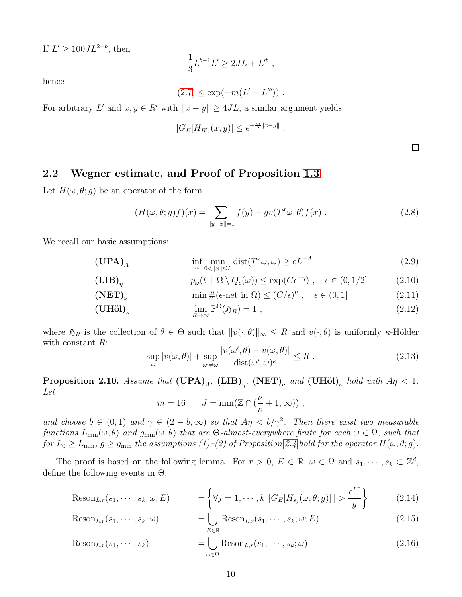If  $L' \geq 100JL^{2-b}$ , then

$$
\frac{1}{3}L^{b-1}L' \ge 2JL + L'^b,
$$

hence

$$
(2.7) \le \exp(-m(L' + L'^{b})) \; .
$$

For arbitrary L' and  $x, y \in R'$  with  $||x - y|| \ge 4JL$ , a similar argument yields

$$
|G_E[H_{R'}](x,y)| \le e^{-\frac{m}{2}||x-y||}
$$

### <span id="page-9-0"></span>2.2 Wegner estimate, and Proof of Proposition [1.3](#page-2-0)

Let  $H(\omega, \theta; g)$  be an operator of the form

$$
(H(\omega,\theta;g)f)(x) = \sum_{\|y-x\|=1} f(y) + gv(T^x\omega,\theta)f(x) .
$$
 (2.8)

.

We recall our basic assumptions:

$$
(\mathbf{UPA})_A \qquad \qquad \inf_{\omega} \min_{0 < \|x\| \le L} \text{dist}(T^x \omega, \omega) \ge cL^{-A} \tag{2.9}
$$

$$
p_{\omega}(t \mid \Omega \setminus Q_{\epsilon}(\omega)) \le \exp(C\epsilon^{-\eta}), \quad \epsilon \in (0, 1/2] \tag{2.10}
$$

$$
(\text{NET})_{\nu} \qquad \min \#(\epsilon \text{-net in } \Omega) \le (C/\epsilon)^{\nu} , \quad \epsilon \in (0,1] \qquad (2.11)
$$

$$
(\mathbf{U}\mathbf{H}\ddot{\mathbf{o}})\big|_{\kappa} \qquad \qquad \lim_{R \to \infty} \mathbb{P}^{\Theta}(\mathfrak{H}_R) = 1 \;, \tag{2.12}
$$

where  $\mathfrak{H}_R$  is the collection of  $\theta \in \Theta$  such that  $||v(\cdot, \theta)||_{\infty} \leq R$  and  $v(\cdot, \theta)$  is uniformly  $\kappa$ -Hölder with constant  $R$ :

<span id="page-9-2"></span>
$$
\sup_{\omega} |v(\omega, \theta)| + \sup_{\omega' \neq \omega} \frac{|v(\omega', \theta) - v(\omega, \theta)|}{\text{dist}(\omega', \omega)^{\kappa}} \leq R.
$$
\n(2.13)

<span id="page-9-1"></span>**Proposition 2.10.** Assume that  $(\text{UPA})_A$ ,  $(\text{LIB})_{\eta}$ ,  $(\text{NET})_{\nu}$  and  $(\text{UH\"ol})_{\kappa}$  hold with  $A\eta < 1$ . Let

$$
m = 16
$$
,  $J = \min(\mathbb{Z} \cap (\frac{\nu}{\kappa} + 1, \infty))$ ,

and choose  $b \in (0,1)$  and  $\gamma \in (2-b,\infty)$  so that  $A\eta < b/\gamma^2$ . Then there exist two measurable functions  $L_{\min}(\omega, \theta)$  and  $g_{\min}(\omega, \theta)$  that are  $\Theta$ -almost-everywhere finite for each  $\omega \in \Omega$ , such that for  $L_0 \ge L_{\min}$ ,  $g \ge g_{\min}$  the assumptions (1)–(2) of Proposition [2.4](#page-5-0) hold for the operator  $H(\omega, \theta; g)$ .

The proof is based on the following lemma. For  $r > 0$ ,  $E \in \mathbb{R}$ ,  $\omega \in \Omega$  and  $s_1, \dots, s_k \subset \mathbb{Z}^d$ , define the following events in  $\Theta$ :

$$
\text{Reson}_{L,r}(s_1,\cdots,s_k;\omega;E) \qquad \qquad = \left\{ \forall j=1,\cdots,k \, \|G_E[H_{s_j}(\omega,\theta;g)]\| > \frac{e^{L^r}}{g} \right\} \qquad (2.14)
$$

$$
\text{Reson}_{L,r}(s_1,\cdots,s_k;\omega) = \bigcup_{E \in \mathbb{R}} \text{Reson}_{L,r}(s_1,\cdots,s_k;\omega;E) \tag{2.15}
$$

$$
\text{Reson}_{L,r}(s_1,\cdots,s_k) = \bigcup_{\omega \in \Omega} \text{Reson}_{L,r}(s_1,\cdots,s_k;\omega) \tag{2.16}
$$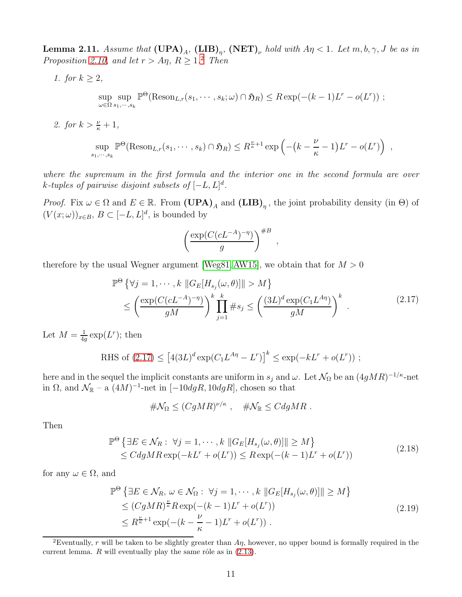<span id="page-10-0"></span>**Lemma 2.11.** Assume that  $(UPA)_A$ ,  $(LIB)_{\eta}$ ,  $(NET)_{\nu}$  hold with  $A\eta < 1$ . Let  $m, b, \gamma, J$  be as in Proposition [2.10,](#page-9-1) and let  $r > A\eta$ ,  $R \geq 1.2$  $R \geq 1.2$  Then

1. for  $k \geq 2$ ,

$$
\sup_{\omega \in \Omega} \sup_{s_1, \dots, s_k} \mathbb{P}^{\Theta}(\text{Reson}_{L,r}(s_1, \dots, s_k; \omega) \cap \mathfrak{H}_R) \leq R \exp(-(k-1)L^r - o(L^r)) ;
$$

2. for  $k > \frac{\nu}{\kappa} + 1$ ,

$$
\sup_{s_1,\dots,s_k} \mathbb{P}^{\Theta}(\text{Reson}_{L,r}(s_1,\dots,s_k) \cap \mathfrak{H}_R) \leq R^{\frac{\nu}{\kappa}+1} \exp\left(-\left(k-\frac{\nu}{\kappa}-1\right)L^r - o(L^r)\right) ,
$$

where the supremum in the first formula and the interior one in the second formula are over k-tuples of pairwise disjoint subsets of  $[-L, L]^d$ .

*Proof.* Fix  $\omega \in \Omega$  and  $E \in \mathbb{R}$ . From  $(\mathbf{UPA})_A$  and  $(\mathbf{LIB})_\eta$ , the joint probability density (in  $\Theta$ ) of  $(V(x; \omega))_{x \in B}, B \subset [-L, L]^d$ , is bounded by

$$
\left(\frac{\exp(C(cL^{-A})^{-\eta})}{g}\right)^{\#B}
$$

therefore by the usual Wegner argument [\[Weg81,](#page-17-5) [AW15\]](#page-15-9), we obtain that for  $M > 0$ 

$$
\mathbb{P}^{\Theta}\left\{\forall j=1,\cdots,k\ |G_E[H_{s_j}(\omega,\theta)]\|>M\right\}
$$
  

$$
\leq \left(\frac{\exp(C(cL^{-A})^{-\eta})}{gM}\right)^k \prod_{j=1}^k \#s_j \leq \left(\frac{(3L)^d \exp(C_1 L^{A\eta})}{gM}\right)^k.
$$
 (2.17)

<span id="page-10-2"></span>,

Let  $M=\frac{1}{4a}$  $\frac{1}{4g}$  exp $(L^r)$ ; then

RHS of (2.17) 
$$
\leq [4(3L)^{d} \exp(C_1 L^{A\eta} - L^r)]^k \leq \exp(-kL^r + o(L^r))
$$
;

here and in the sequel the implicit constants are uniform in  $s_j$  and  $\omega$ . Let  $\mathcal{N}_{\Omega}$  be an  $(4gMR)^{-1/\kappa}$ -net in  $\Omega$ , and  $\mathcal{N}_{\mathbb{R}}$  – a  $(4M)^{-1}$ -net in  $[-10dgR, 10dgR]$ , chosen so that

$$
\#\mathcal{N}_{\Omega} \leq (CgMR)^{\nu/\kappa} , \quad \#\mathcal{N}_{\mathbb{R}} \leq CdgMR .
$$

<span id="page-10-3"></span>Then

$$
\mathbb{P}^{\Theta} \left\{ \exists E \in \mathcal{N}_R : \ \forall j = 1, \cdots, k \ \| G_E[H_{s_j}(\omega, \theta)] \| \ge M \right\} \le C dgMR \exp(-kL^r + o(L^r)) \le R \exp(-(k-1)L^r + o(L^r))
$$
\n(2.18)

for any  $\omega \in \Omega$ , and

<span id="page-10-4"></span>
$$
\mathbb{P}^{\Theta} \left\{ \exists E \in \mathcal{N}_R, \, \omega \in \mathcal{N}_\Omega : \, \forall j = 1, \cdots, k \, \| G_E[H_{s_j}(\omega, \theta)] \| \ge M \right\}
$$
\n
$$
\le (CgMR)^{\frac{\nu}{\kappa}} R \exp(-(k-1)L^r + o(L^r))
$$
\n
$$
\le R^{\frac{\nu}{\kappa}+1} \exp(-(k-\frac{\nu}{\kappa}-1)L^r + o(L^r)). \tag{2.19}
$$

<span id="page-10-1"></span><sup>&</sup>lt;sup>2</sup>Eventually, r will be taken to be slightly greater than  $A\eta$ , however, no upper bound is formally required in the current lemma.  $R$  will eventually play the same rôle as in  $(2.13)$ .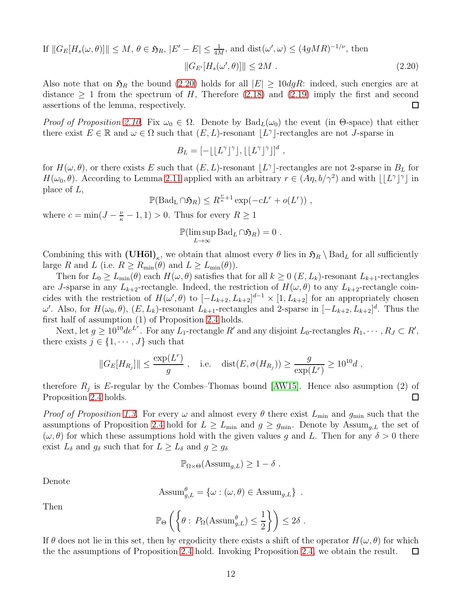If 
$$
||G_E[H_s(\omega, \theta)]|| \le M
$$
,  $\theta \in \mathfrak{H}_R$ ,  $|E' - E| \le \frac{1}{4M}$ , and  $dist(\omega', \omega) \le (4gMR)^{-1/\nu}$ , then  

$$
||G_{E'}[H_s(\omega', \theta)]|| \le 2M.
$$
 (2.20)

Also note that on  $\mathfrak{H}_R$  the bound [\(2.20\)](#page-11-0) holds for all  $|E| \geq 10$ dgR: indeed, such energies are at distance  $\geq 1$  from the spectrum of H, Therefore [\(2.18\)](#page-10-3) and [\(2.19\)](#page-10-4) imply the first and second assertions of the lemma, respectively. assertions of the lemma, respectively.

Proof of Proposition [2.10.](#page-9-1) Fix  $\omega_0 \in \Omega$ . Denote by  $Bad_L(\omega_0)$  the event (in  $\Theta$ -space) that either there exist  $E \in \mathbb{R}$  and  $\omega \in \Omega$  such that  $(E, L)$ -resonant  $\lfloor L^{\gamma} \rfloor$ -rectangles are not *J*-sparse in

<span id="page-11-0"></span>
$$
B_L = [-\lfloor L^{\gamma} \rfloor^{\gamma}], \lfloor \lfloor L^{\gamma} \rfloor^{\gamma} \rfloor]^d,
$$

for  $H(\omega, \theta)$ , or there exists E such that  $(E, L)$ -resonant  $\lfloor L^{\gamma} \rfloor$ -rectangles are not 2-sparse in  $B_L$  for  $H(\omega_0, \theta)$ . According to Lemma [2.11](#page-10-0) applied with an arbitrary  $r \in (A\eta, b/\gamma^2)$  and with  $\lfloor L^{\gamma} \rfloor^{\gamma}$  in place of L,

 $\mathbb{P}(\text{Bad}_{\mathbf{L}} \cap \mathfrak{H}_R) \leq R^{\frac{\nu}{\kappa}+1} \exp(-cL^r + o(L^r))$ ,

where  $c = \min(J - \frac{\nu}{\kappa} - 1, 1) > 0$ . Thus for every  $R \ge 1$ 

$$
\mathbb{P}(\limsup_{L\to\infty} \text{Bad}_{L}\cap \mathfrak{H}_{R})=0.
$$

Combining this with  $(\mathbf{U}\mathbf{H}\ddot{\mathbf{o}})_{\kappa}$ , we obtain that almost every  $\theta$  lies in  $\mathfrak{H}_R \setminus \text{Bad}_L$  for all sufficiently large R and L (i.e.  $R \ge R_{\min}(\theta)$  and  $L \ge L_{\min}(\theta)$ ).

Then for  $L_0 \ge L_{\text{min}}(\theta)$  each  $H(\omega, \theta)$  satisfies that for all  $k \ge 0$  (E,  $L_k$ )-resonant  $L_{k+1}$ -rectangles are J-sparse in any  $L_{k+2}$ -rectangle. Indeed, the restriction of  $H(\omega, \theta)$  to any  $L_{k+2}$ -rectangle coincides with the restriction of  $H(\omega', \theta)$  to  $[-L_{k+2}, L_{k+2}]^{d-1} \times [1, L_{k+2}]$  for an appropriately chosen  $ω'$ . Also, for  $H(ω<sub>0</sub>, θ)$ ,  $(E, L<sub>k</sub>)$ -resonant  $L<sub>k+1</sub>$ -rectangles and 2-sparse in  $[-L<sub>k+2</sub>, L<sub>k+2</sub>]$ <sup>d</sup>. Thus the first half of assumption (1) of Proposition [2.4](#page-5-0) holds.

Next, let  $g \ge 10^{10} de^{L^r}$ . For any  $L_1$ -rectangle  $R'$  and any disjoint  $L_0$ -rectangles  $R_1, \dots, R_J \subset R'$ , there exists  $j \in \{1, \dots, J\}$  such that

$$
||G_E[H_{R_j}]|| \le \frac{\exp(L^r)}{g}
$$
, i.e.  $\text{dist}(E, \sigma(H_{R_j})) \ge \frac{g}{\exp(L^r)} \ge 10^{10}d$ ,

therefore  $R_j$  is E-regular by the Combes–Thomas bound [\[AW15\]](#page-15-9). Hence also asumption (2) of  $\Box$ Proposition [2.4](#page-5-0) holds.

*Proof of Proposition [1.3.](#page-2-0)* For every  $\omega$  and almost every  $\theta$  there exist  $L_{\text{min}}$  and  $g_{\text{min}}$  such that the assumptions of Proposition [2.4](#page-5-0) hold for  $L \ge L_{\text{min}}$  and  $g \ge g_{\text{min}}$ . Denote by Assum<sub>g,L</sub> the set of  $(\omega, \theta)$  for which these assumptions hold with the given values g and L. Then for any  $\delta > 0$  there exist  $L_{\delta}$  and  $g_{\delta}$  such that for  $L \geq L_{\delta}$  and  $g \geq g_{\delta}$ 

$$
\mathbb{P}_{\Omega\times\Theta}(\mathrm{Assum}_{g,L})\geq 1-\delta\ .
$$

Denote

Assum<sub>g,L</sub><sup>$$
\theta
$$</sup> = { $\omega : (\omega, \theta) \in \text{Assum}_{g,L}$  }.

Then

$$
\mathbb{P}_{\Theta}\left(\left\{\theta:\ P_{\Omega}(\text{Assum}_{g,L}^{\theta}) \leq \frac{1}{2}\right\}\right) \leq 2\delta.
$$

If  $\theta$  does not lie in this set, then by ergodicity there exists a shift of the operator  $H(\omega, \theta)$  for which the the assumptions of Proposition [2.4](#page-5-0) hold. Invoking Proposition [2.4,](#page-5-0) we obtain the result.  $\Box$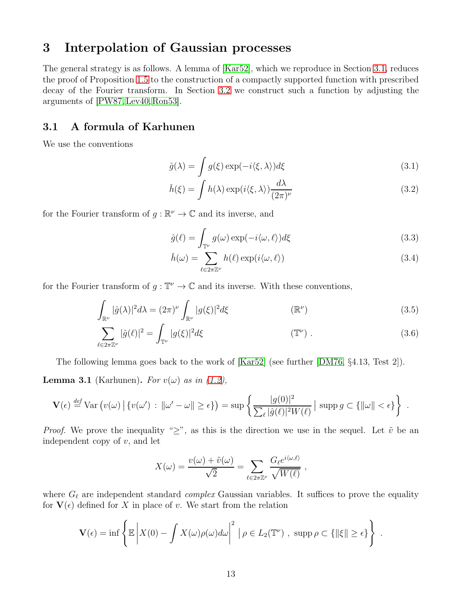# 3 Interpolation of Gaussian processes

The general strategy is as follows. A lemma of [\[Kar52\]](#page-16-20), which we reproduce in Section [3.1,](#page-12-0) reduces the proof of Proposition [1.5](#page-3-0) to the construction of a compactly supported function with prescribed decay of the Fourier transform. In Section [3.2](#page-13-0) we construct such a function by adjusting the arguments of [\[PW87,](#page-17-6) [Lev40,](#page-17-7) [Ron53\]](#page-17-8).

### <span id="page-12-0"></span>3.1 A formula of Karhunen

We use the conventions

$$
\hat{g}(\lambda) = \int g(\xi) \exp(-i\langle \xi, \lambda \rangle) d\xi \tag{3.1}
$$

$$
\check{h}(\xi) = \int h(\lambda) \exp(i\langle \xi, \lambda \rangle) \frac{d\lambda}{(2\pi)^{\nu}}
$$
\n(3.2)

for the Fourier transform of  $g : \mathbb{R}^{\nu} \to \mathbb{C}$  and its inverse, and

$$
\hat{g}(\ell) = \int_{\mathbb{T}^{\nu}} g(\omega) \exp(-i\langle \omega, \ell \rangle) d\xi \tag{3.3}
$$

$$
\check{h}(\omega) = \sum_{\ell \in 2\pi \mathbb{Z}^{\nu}} h(\ell) \exp(i\langle \omega, \ell \rangle)
$$
\n(3.4)

for the Fourier transform of  $g: \mathbb{T}^{\nu} \to \mathbb{C}$  and its inverse. With these conventions,

$$
\int_{\mathbb{R}^{\nu}} |\hat{g}(\lambda)|^2 d\lambda = (2\pi)^{\nu} \int_{\mathbb{R}^{\nu}} |g(\xi)|^2 d\xi \qquad (\mathbb{R}^{\nu})
$$
\n(3.5)

$$
\sum_{\ell \in 2\pi \mathbb{Z}^{\nu}} |\hat{g}(\ell)|^2 = \int_{\mathbb{T}^{\nu}} |g(\xi)|^2 d\xi \qquad (\mathbb{T}^{\nu}). \qquad (3.6)
$$

The following lemma goes back to the work of [\[Kar52\]](#page-16-20) (see further [\[DM76,](#page-16-16) §4.13, Test 2]).

<span id="page-12-1"></span>**Lemma 3.1** (Karhunen). For  $v(\omega)$  as in [\(1.2\)](#page-1-0),

$$
\mathbf{V}(\epsilon) \stackrel{\text{def}}{=} \text{Var}\left(v(\omega) \,|\, \{v(\omega')\,:\, \|\omega' - \omega\| \geq \epsilon\}\right) = \sup \left\{\frac{|g(0)|^2}{\sum_{\ell} |\hat{g}(\ell)|^2 W(\ell)} \,|\, \operatorname{supp} g \subset \{\|\omega\| < \epsilon\}\right\} \;.
$$

*Proof.* We prove the inequality " $\geq$ ", as this is the direction we use in the sequel. Let  $\tilde{v}$  be an independent copy of  $v$ , and let

$$
X(\omega) = \frac{v(\omega) + \tilde{v}(\omega)}{\sqrt{2}} = \sum_{\ell \in 2\pi\mathbb{Z}^{\nu}} \frac{G_{\ell}e^{i\langle \omega, \ell \rangle}}{\sqrt{W(\ell)}} ,
$$

where  $G_{\ell}$  are independent standard *complex* Gaussian variables. It suffices to prove the equality for  $\mathbf{V}(\epsilon)$  defined for X in place of v. We start from the relation

$$
\mathbf{V}(\epsilon) = \inf \left\{ \mathbb{E} \left| X(0) - \int X(\omega) \rho(\omega) d\omega \right|^2 \mid \rho \in L_2(\mathbb{T}^{\nu}) , \text{ supp } \rho \subset \{ \|\xi\| \geq \epsilon \} \right\} .
$$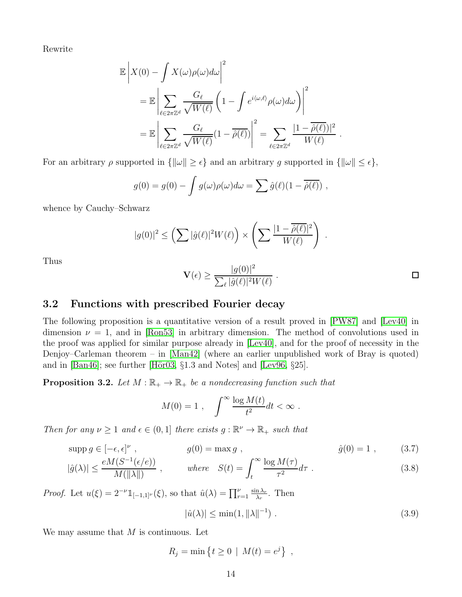Rewrite

$$
\mathbb{E}\left|X(0) - \int X(\omega)\rho(\omega)d\omega\right|^2
$$
  
= 
$$
\mathbb{E}\left|\sum_{\ell \in 2\pi\mathbb{Z}^d} \frac{G_{\ell}}{\sqrt{W(\ell)}} \left(1 - \int e^{i\langle \omega, \ell \rangle} \rho(\omega)d\omega\right)\right|^2
$$
  
= 
$$
\mathbb{E}\left|\sum_{\ell \in 2\pi\mathbb{Z}^d} \frac{G_{\ell}}{\sqrt{W(\ell)}} (1 - \overline{\hat{\rho}(\ell)})\right|^2 = \sum_{\ell \in 2\pi\mathbb{Z}^d} \frac{|1 - \overline{\hat{\rho}(\ell)})|^2}{W(\ell)}.
$$

For an arbitrary  $\rho$  supported in  $\{\|\omega\| \geq \epsilon\}$  and an arbitrary g supported in  $\{\|\omega\| \leq \epsilon\},\$ 

$$
g(0) = g(0) - \int g(\omega)\rho(\omega)d\omega = \sum \hat{g}(\ell)(1 - \overline{\hat{\rho}(\ell)}) ,
$$

whence by Cauchy–Schwarz

$$
|g(0)|^2 \leq \left(\sum |\hat{g}(\ell)|^2 W(\ell)\right) \times \left(\sum \frac{|1 - \overline{\hat{\rho}(\ell)}|^2}{W(\ell)}\right)
$$

Thus

$$
\mathbf{V}(\epsilon) \ge \frac{|g(0)|^2}{\sum_{\ell} |\hat{g}(\ell)|^2 W(\ell)}.
$$

<span id="page-13-1"></span>.

#### <span id="page-13-0"></span>3.2 Functions with prescribed Fourier decay

The following proposition is a quantitative version of a result proved in [\[PW87\]](#page-17-6) and [\[Lev40\]](#page-17-7) in dimension  $\nu = 1$ , and in [\[Ron53\]](#page-17-8) in arbitrary dimension. The method of convolutions used in the proof was applied for similar purpose already in [\[Lev40\]](#page-17-7), and for the proof of necessity in the Denjoy–Carleman theorem – in [\[Man42\]](#page-17-9) (where an earlier unpublished work of Bray is quoted) and in [\[Ban46\]](#page-15-11); see further [Hör03,  $\S1.3$  and Notes] and [\[Lev96,](#page-17-10)  $\S25$ ].

<span id="page-13-4"></span>**Proposition 3.2.** Let  $M : \mathbb{R}_+ \to \mathbb{R}_+$  be a nondecreasing function such that

$$
M(0) = 1 , \quad \int^{\infty} \frac{\log M(t)}{t^2} dt < \infty .
$$

Then for any  $\nu \geq 1$  and  $\epsilon \in (0,1]$  there exists  $g : \mathbb{R}^{\nu} \to \mathbb{R}_{+}$  such that

$$
supp g \in [-\epsilon, \epsilon]^\nu , \qquad g(0) = \max g , \qquad \hat{g}(0) = 1 , \qquad (3.7)
$$

$$
|\hat{g}(\lambda)| \le \frac{eM(S^{-1}(\epsilon/e))}{M(\|\lambda\|)} , \qquad \text{where} \quad S(t) = \int_t^\infty \frac{\log M(\tau)}{\tau^2} d\tau . \tag{3.8}
$$

*Proof.* Let  $u(\xi) = 2^{-\nu} \mathbb{1}_{[-1,1]^{\nu}}(\xi)$ , so that  $\hat{u}(\lambda) = \prod_{r=1}^{\nu} \frac{\sin \lambda_r}{\lambda_r}$  $\frac{n\lambda_r}{\lambda_r}$ . Then

<span id="page-13-3"></span><span id="page-13-2"></span>
$$
|\hat{u}(\lambda)| \le \min(1, \|\lambda\|^{-1}) \tag{3.9}
$$

We may assume that  $M$  is continuous. Let

$$
R_j = \min \left\{ t \ge 0 \mid M(t) = e^j \right\},\,
$$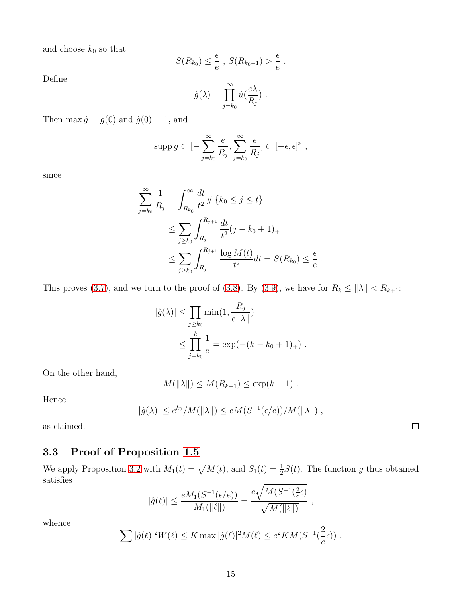and choose  $k_0$  so that

$$
S(R_{k_0}) \leq \frac{\epsilon}{e} , S(R_{k_0-1}) > \frac{\epsilon}{e} .
$$

Define

$$
\hat{g}(\lambda) = \prod_{j=k_0}^{\infty} \hat{u}(\frac{e\lambda}{R_j}) \ .
$$

Then max  $\hat{g} = g(0)$  and  $\hat{g}(0) = 1$ , and

$$
\operatorname{supp} g \subset [-\sum_{j=k_0}^{\infty} \frac{e}{R_j}, \sum_{j=k_0}^{\infty} \frac{e}{R_j}] \subset [-\epsilon, \epsilon]^{\nu},
$$

since

$$
\sum_{j=k_0}^{\infty} \frac{1}{R_j} = \int_{R_{k_0}}^{\infty} \frac{dt}{t^2} \# \{k_0 \le j \le t\}
$$
  

$$
\le \sum_{j \ge k_0} \int_{R_j}^{R_{j+1}} \frac{dt}{t^2} (j - k_0 + 1)_+
$$
  

$$
\le \sum_{j \ge k_0} \int_{R_j}^{R_{j+1}} \frac{\log M(t)}{t^2} dt = S(R_{k_0}) \le \frac{\epsilon}{e}
$$

.

This proves [\(3.7\)](#page-13-1), and we turn to the proof of [\(3.8\)](#page-13-2). By [\(3.9\)](#page-13-3), we have for  $R_k \le ||\lambda|| < R_{k+1}$ :

$$
|\hat{g}(\lambda)| \le \prod_{j \ge k_0} \min(1, \frac{R_j}{e||\lambda||})
$$
  
 
$$
\le \prod_{j=k_0}^k \frac{1}{e} = \exp(-(k - k_0 + 1)_+).
$$

On the other hand,

$$
M(\|\lambda\|) \le M(R_{k+1}) \le \exp(k+1) .
$$

Hence

$$
|\hat{g}(\lambda)| \leq e^{k_0}/M(||\lambda||) \leq eM(S^{-1}(\epsilon/e))/M(||\lambda||) ,
$$

as claimed.

## 3.3 Proof of Proposition [1.5](#page-3-0)

We apply Proposition [3.2](#page-13-4) with  $M_1(t) = \sqrt{M(t)}$ , and  $S_1(t) = \frac{1}{2}S(t)$ . The function g thus obtained satisfies

$$
|\hat{g}(\ell)| \le \frac{eM_1(S_1^{-1}(\epsilon/e))}{M_1(\|\ell\|)} = \frac{e\sqrt{M(S^{-1}(\frac{2}{e}\epsilon)}}{\sqrt{M(\|\ell\|)}},
$$

whence

$$
\sum |\hat{g}(\ell)|^2 W(\ell) \leq K \max |\hat{g}(\ell)|^2 M(\ell) \leq e^2 K M(S^{-1}(\frac{2}{e}\epsilon)) .
$$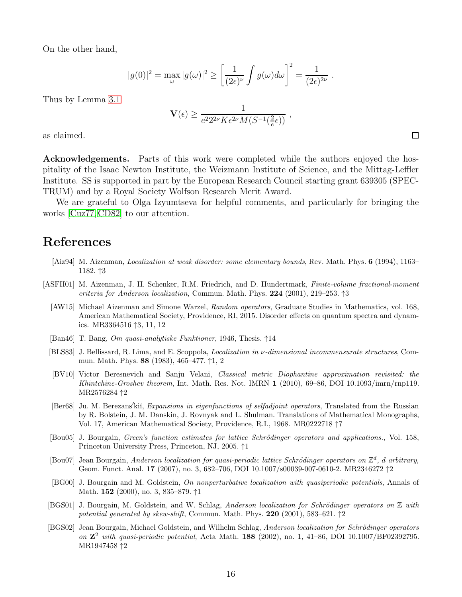On the other hand,

$$
|g(0)|^2 = \max_{\omega} |g(\omega)|^2 \ge \left[\frac{1}{(2\epsilon)^{\nu}} \int g(\omega) d\omega\right]^2 = \frac{1}{(2\epsilon)^{2\nu}}.
$$

Thus by Lemma [3.1](#page-12-1)

$$
\mathbf{V}(\epsilon) \ge \frac{1}{e^{2}2^{2\nu}K\epsilon^{2\nu}M(S^{-1}(\frac{2}{e}\epsilon))},
$$

as claimed.

Acknowledgements. Parts of this work were completed while the authors enjoyed the hospitality of the Isaac Newton Institute, the Weizmann Institute of Science, and the Mittag-Leffler Institute. SS is supported in part by the European Research Council starting grant 639305 (SPEC-TRUM) and by a Royal Society Wolfson Research Merit Award.

We are grateful to Olga Izyumtseva for helpful comments, and particularly for bringing the works [\[Cuz77,](#page-16-18) [CD82\]](#page-16-17) to our attention.

# References

- <span id="page-15-7"></span>[Aiz94] M. Aizenman, Localization at weak disorder: some elementary bounds, Rev. Math. Phys. 6 (1994), 1163– 1182. ↑3
- <span id="page-15-11"></span><span id="page-15-10"></span><span id="page-15-9"></span><span id="page-15-8"></span><span id="page-15-6"></span><span id="page-15-0"></span>[ASFH01] M. Aizenman, J. H. Schenker, R.M. Friedrich, and D. Hundertmark, Finite-volume fractional-moment criteria for Anderson localization, Commun. Math. Phys.  $224$  (2001), 219–253. †3
	- [AW15] Michael Aizenman and Simone Warzel, Random operators, Graduate Studies in Mathematics, vol. 168, American Mathematical Society, Providence, RI, 2015. Disorder effects on quantum spectra and dynamics. MR3364516 ↑3, 11, 12
	- [Ban46] T. Bang, Om quasi-analytiske Funktioner, 1946, Thesis. ↑14
	- [BLS83] J. Bellissard, R. Lima, and E. Scoppola, *Localization in v-dimensional incommensurate structures*, Commun. Math. Phys. <sup>88</sup> (1983), 465–477. <sup>↑</sup>1, 2
	- [BV10] Victor Beresnevich and Sanju Velani, Classical metric Diophantine approximation revisited: the Khintchine-Groshev theorem, Int. Math. Res. Not. IMRN 1 (2010), 69–86, DOI 10.1093/imrn/rnp119. MR2576284 ↑2
	- [Ber68] Ju. M. Berezans'kiĭ, *Expansions in eigenfunctions of selfadjoint operators*, Translated from the Russian by R. Bolstein, J. M. Danskin, J. Rovnyak and L. Shulman. Translations of Mathematical Monographs, Vol. 17, American Mathematical Society, Providence, R.I., 1968. MR0222718 ↑7
	- [Bou05] J. Bourgain, *Green's function estimates for lattice Schrödinger operators and applications.*, Vol. 158, Princeton University Press, Princeton, NJ, 2005. ↑1
	- [Bou07] Jean Bourgain, Anderson localization for quasi-periodic lattice Schrödinger operators on  $\mathbb{Z}^d$ , d arbitrary, Geom. Funct. Anal. 17 (2007), no. 3, 682–706, DOI 10.1007/s00039-007-0610-2. MR2346272 ↑2
	- [BG00] J. Bourgain and M. Goldstein, On nonperturbative localization with quasiperiodic potentials, Annals of Math. <sup>152</sup> (2000), no. 3, 835–879. <sup>↑</sup><sup>1</sup>
	- [BGS01] J. Bourgain, M. Goldstein, and W. Schlag, Anderson localization for Schrödinger operators on  $\mathbb Z$  with potential generated by skew-shift, Commun. Math. Phys. 220 (2001), 583–621.  $\uparrow$ 2
- <span id="page-15-5"></span><span id="page-15-4"></span><span id="page-15-3"></span><span id="page-15-2"></span><span id="page-15-1"></span>[BGS02] Jean Bourgain, Michael Goldstein, and Wilhelm Schlag, Anderson localization for Schrödinger operators on  $\mathbb{Z}^2$  with quasi-periodic potential, Acta Math. 188 (2002), no. 1, 41-86, DOI 10.1007/BF02392795. MR1947458 ↑2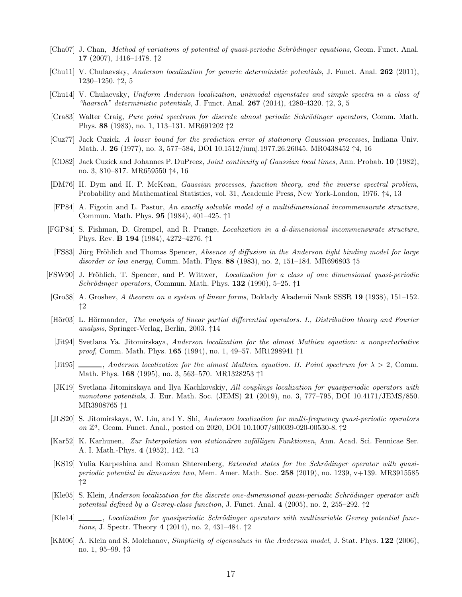- <span id="page-16-13"></span>[Cha07] J. Chan, Method of variations of potential of quasi-periodic Schrödinger equations, Geom. Funct. Anal. <sup>17</sup> (2007), 1416–1478. <sup>↑</sup><sup>2</sup>
- <span id="page-16-11"></span>[Chu11] V. Chulaevsky, Anderson localization for generic deterministic potentials, J. Funct. Anal. 262 (2011), 1230–1250. ↑2, 5
- <span id="page-16-12"></span>[Chu14] V. Chulaevsky, Uniform Anderson localization, unimodal eigenstates and simple spectra in a class of "haarsch" deterministic potentials, J. Funct. Anal.  $267$  (2014), 4280-4320.  $\uparrow$ 2, 3, 5
- <span id="page-16-8"></span>[Cra83] Walter Craig, *Pure point spectrum for discrete almost periodic Schrödinger operators*, Comm. Math. Phys. <sup>88</sup> (1983), no. 1, 113–131. MR691202 <sup>↑</sup><sup>2</sup>
- <span id="page-16-18"></span>[Cuz77] Jack Cuzick, A lower bound for the prediction error of stationary Gaussian processes, Indiana Univ. Math. J. <sup>26</sup> (1977), no. 3, 577–584, DOI 10.1512/iumj.1977.26.26045. MR0438452 <sup>↑</sup>4, 16
- <span id="page-16-17"></span>[CD82] Jack Cuzick and Johannes P. DuPreez, Joint continuity of Gaussian local times, Ann. Probab. 10 (1982), no. 3, 810–817. MR659550 ↑4, 16
- <span id="page-16-16"></span>[DM76] H. Dym and H. P. McKean, Gaussian processes, function theory, and the inverse spectral problem, Probability and Mathematical Statistics, vol. 31, Academic Press, New York-London, 1976. ↑4, 13
- <span id="page-16-0"></span>[FP84] A. Figotin and L. Pastur, An exactly solvable model of a multidimensional incommensurate structure, Commun. Math. Phys. <sup>95</sup> (1984), 401–425. <sup>↑</sup><sup>1</sup>
- <span id="page-16-19"></span><span id="page-16-2"></span>[FGP84] S. Fishman, D. Grempel, and R. Prange, Localization in a d-dimensional incommensurate structure, Phys. Rev. B 194 (1984), 4272–4276. <sup>↑</sup><sup>1</sup>
	- [FS83] Jürg Fröhlich and Thomas Spencer, Absence of diffusion in the Anderson tight binding model for large disorder or low energy, Comm. Math. Phys. 88 (1983), no. 2, 151–184. MR696803 ↑5
- <span id="page-16-3"></span>[FSW90] J. Fröhlich, T. Spencer, and P. Wittwer, Localization for a class of one dimensional quasi-periodic Schrödinger operators, Commun. Math. Phys. 132 (1990), 5–25.  $\uparrow$ 1
- <span id="page-16-14"></span>[Gro38] A. Groshev, A theorem on a system of linear forms, Doklady Akademii Nauk SSSR 19 (1938), 151–152. ↑2
- <span id="page-16-21"></span>[Hör03] L. Hörmander, The analysis of linear partial differential operators. I., Distribution theory and Fourier analysis, Springer-Verlag, Berlin, 2003. ↑14
- <span id="page-16-4"></span>[Jit94] Svetlana Ya. Jitomirskaya, Anderson localization for the almost Mathieu equation: a nonperturbative proof, Comm. Math. Phys. 165 (1994), no. 1, 49–57. MR1298941 ↑1
- <span id="page-16-5"></span>[Jit95]  $\_\_\_\_\$ , Anderson localization for the almost Mathieu equation. II. Point spectrum for  $\lambda > 2$ , Comm. Math. Phys. <sup>168</sup> (1995), no. 3, 563–570. MR1328253 <sup>↑</sup><sup>1</sup>
- <span id="page-16-1"></span>[JK19] Svetlana Jitomirskaya and Ilya Kachkovskiy, All couplings localization for quasiperiodic operators with monotone potentials, J. Eur. Math. Soc. (JEMS) 21 (2019), no. 3, 777-795, DOI 10.4171/JEMS/850. MR3908765 ↑1
- <span id="page-16-9"></span>[JLS20] S. Jitomirskaya, W. Liu, and Y. Shi, Anderson localization for multi-frequency quasi-periodic operators on  $\mathbb{Z}^d$ , Geom. Funct. Anal., posted on 2020, DOI 10.1007/s00039-020-00530-8.  $\uparrow$ 2
- <span id="page-16-20"></span>[Kar52] K. Karhunen, *Zur Interpolation von stationären zufälligen Funktionen*, Ann. Acad. Sci. Fennicae Ser. A. I. Math.-Phys. <sup>4</sup> (1952), 142. <sup>↑</sup><sup>13</sup>
- <span id="page-16-10"></span>[KS19] Yulia Karpeshina and Roman Shterenberg, *Extended states for the Schrödinger operator with quasi*periodic potential in dimension two, Mem. Amer. Math. Soc.  $258$  (2019), no. 1239, v+139. MR3915585 ↑2
- <span id="page-16-6"></span>[Kle05] S. Klein, Anderson localization for the discrete one-dimensional quasi-periodic Schrödinger operator with potential defined by a Gevrey-class function, J. Funct. Anal. 4 (2005), no. 2, 255–292.  $\uparrow$ 2
- <span id="page-16-7"></span>[Kle14] , Localization for quasiperiodic Schrödinger operators with multivariable Gevrey potential functions, J. Spectr. Theory <sup>4</sup> (2014), no. 2, 431–484. <sup>↑</sup><sup>2</sup>
- <span id="page-16-15"></span>[KM06] A. Klein and S. Molchanov, *Simplicity of eigenvalues in the Anderson model*, J. Stat. Phys. 122 (2006), no. 1, 95–99. ↑3